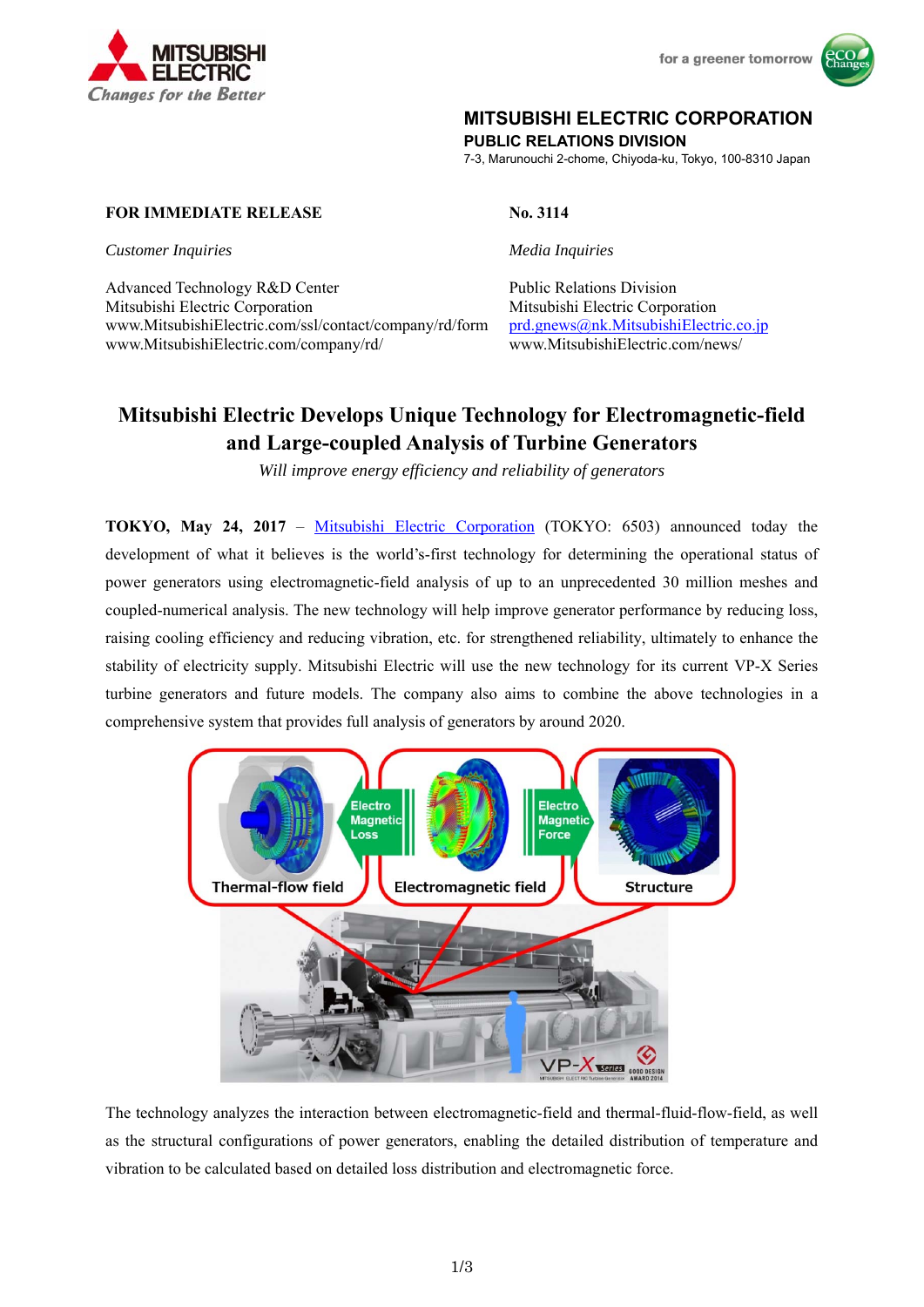

for a greener tomorrow



## **MITSUBISHI ELECTRIC CORPORATION**

**PUBLIC RELATIONS DIVISION** 

7-3, Marunouchi 2-chome, Chiyoda-ku, Tokyo, 100-8310 Japan

## **FOR IMMEDIATE RELEASE No. 3114**

*Customer Inquiries Media Inquiries* 

Advanced Technology R&D Center Public Relations Division Mitsubishi Electric Corporation Mitsubishi Electric Corporation www.MitsubishiElectric.com/ssl/contact/company/rd/form prd.gnews@nk.MitsubishiElectric.co.jp www.MitsubishiElectric.com/company/rd/ www.MitsubishiElectric.com/news/

# **Mitsubishi Electric Develops Unique Technology for Electromagnetic-field and Large-coupled Analysis of Turbine Generators**

*Will improve energy efficiency and reliability of generators* 

**TOKYO, May 24, 2017** – Mitsubishi Electric Corporation (TOKYO: 6503) announced today the development of what it believes is the world's-first technology for determining the operational status of power generators using electromagnetic-field analysis of up to an unprecedented 30 million meshes and coupled-numerical analysis. The new technology will help improve generator performance by reducing loss, raising cooling efficiency and reducing vibration, etc. for strengthened reliability, ultimately to enhance the stability of electricity supply. Mitsubishi Electric will use the new technology for its current VP-X Series turbine generators and future models. The company also aims to combine the above technologies in a comprehensive system that provides full analysis of generators by around 2020.



The technology analyzes the interaction between electromagnetic-field and thermal-fluid-flow-field, as well as the structural configurations of power generators, enabling the detailed distribution of temperature and vibration to be calculated based on detailed loss distribution and electromagnetic force.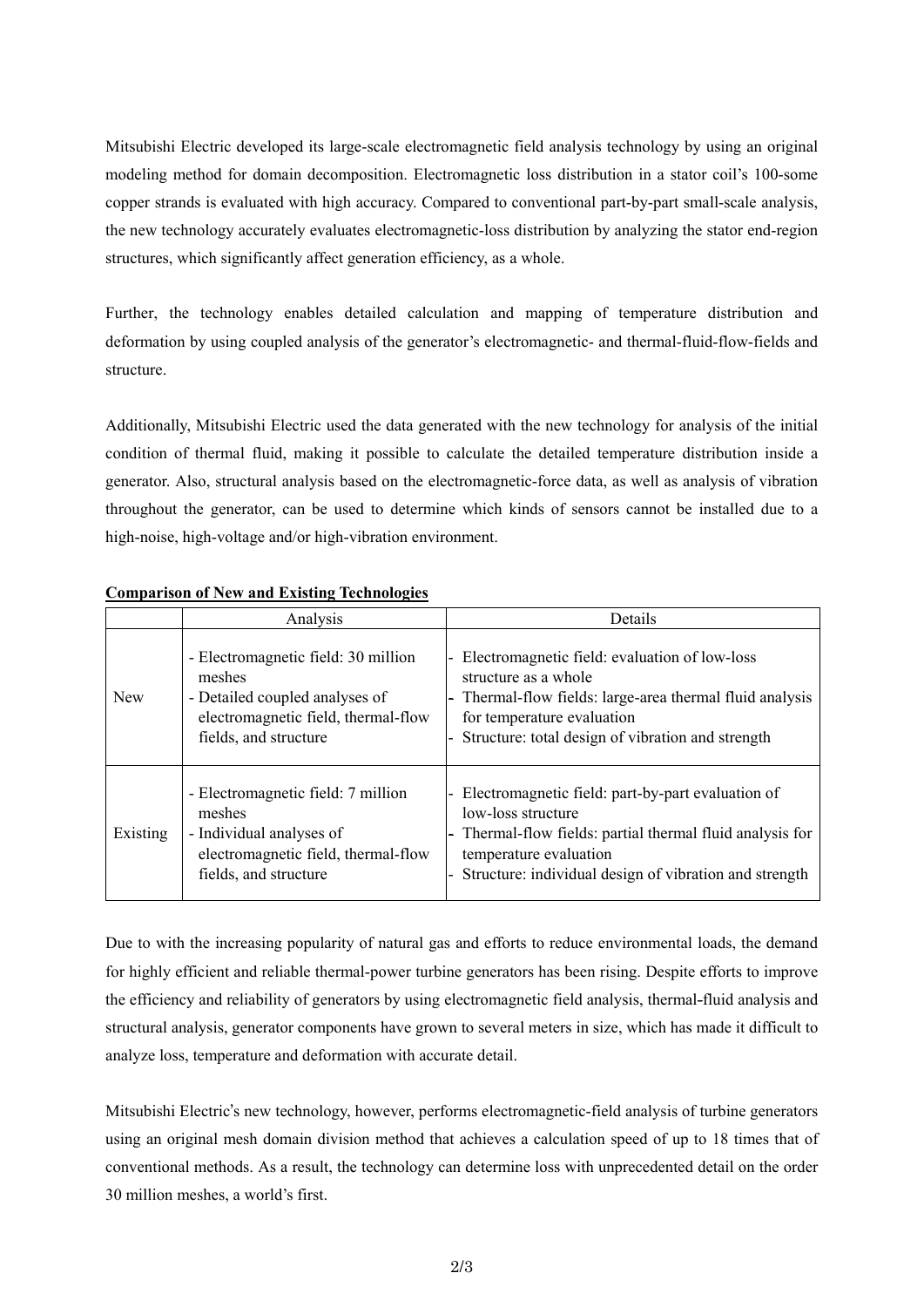Mitsubishi Electric developed its large-scale electromagnetic field analysis technology by using an original modeling method for domain decomposition. Electromagnetic loss distribution in a stator coil's 100-some copper strands is evaluated with high accuracy. Compared to conventional part-by-part small-scale analysis, the new technology accurately evaluates electromagnetic-loss distribution by analyzing the stator end-region structures, which significantly affect generation efficiency, as a whole.

Further, the technology enables detailed calculation and mapping of temperature distribution and deformation by using coupled analysis of the generator's electromagnetic- and thermal-fluid-flow-fields and structure.

Additionally, Mitsubishi Electric used the data generated with the new technology for analysis of the initial condition of thermal fluid, making it possible to calculate the detailed temperature distribution inside a generator. Also, structural analysis based on the electromagnetic-force data, as well as analysis of vibration throughout the generator, can be used to determine which kinds of sensors cannot be installed due to a high-noise, high-voltage and/or high-vibration environment.

|            | Analysis                                                                                                                                        | Details                                                                                                                                                                                                                |
|------------|-------------------------------------------------------------------------------------------------------------------------------------------------|------------------------------------------------------------------------------------------------------------------------------------------------------------------------------------------------------------------------|
| <b>New</b> | - Electromagnetic field: 30 million<br>meshes<br>- Detailed coupled analyses of<br>electromagnetic field, thermal-flow<br>fields, and structure | Electromagnetic field: evaluation of low-loss<br>structure as a whole<br>Thermal-flow fields: large-area thermal fluid analysis<br>for temperature evaluation<br>Structure: total design of vibration and strength     |
| Existing   | - Electromagnetic field: 7 million<br>meshes<br>- Individual analyses of<br>electromagnetic field, thermal-flow<br>fields, and structure        | Electromagnetic field: part-by-part evaluation of<br>low-loss structure<br>Thermal-flow fields: partial thermal fluid analysis for<br>temperature evaluation<br>Structure: individual design of vibration and strength |

## **Comparison of New and Existing Technologies**

Due to with the increasing popularity of natural gas and efforts to reduce environmental loads, the demand for highly efficient and reliable thermal-power turbine generators has been rising. Despite efforts to improve the efficiency and reliability of generators by using electromagnetic field analysis, thermal-fluid analysis and structural analysis, generator components have grown to several meters in size, which has made it difficult to analyze loss, temperature and deformation with accurate detail.

Mitsubishi Electric's new technology, however, performs electromagnetic-field analysis of turbine generators using an original mesh domain division method that achieves a calculation speed of up to 18 times that of conventional methods. As a result, the technology can determine loss with unprecedented detail on the order 30 million meshes, a world's first.